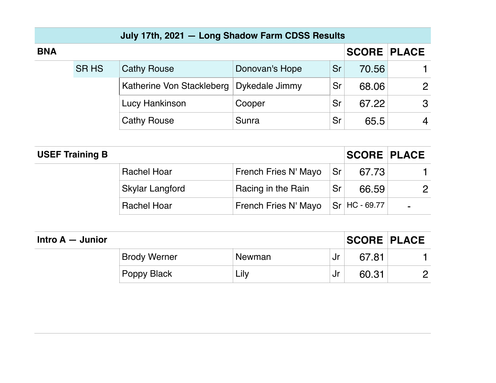|            |             | July 17th, 2021 - Long Shadow Farm CDSS Results |                |    |                    |                |
|------------|-------------|-------------------------------------------------|----------------|----|--------------------|----------------|
| <b>BNA</b> |             |                                                 |                |    | <b>SCORE PLACE</b> |                |
|            | <b>SRHS</b> | <b>Cathy Rouse</b>                              | Donovan's Hope | Sr | 70.56              |                |
|            |             | Katherine Von Stackleberg                       | Dykedale Jimmy | Sr | 68.06              | $\overline{2}$ |
|            |             | Lucy Hankinson                                  | Cooper         | Sr | 67.22              | 3              |
|            |             | <b>Cathy Rouse</b>                              | Sunra          | Sr | 65.5               | $\overline{4}$ |

| <b>USEF Training B</b> |                        |                      |    | <b>SCORE PLACE</b>            |                |
|------------------------|------------------------|----------------------|----|-------------------------------|----------------|
|                        | <b>Rachel Hoar</b>     | French Fries N' Mayo | Sr | 67.73                         |                |
|                        | <b>Skylar Langford</b> | Racing in the Rain   | Sr | 66.59                         | $\mathcal{P}$  |
|                        | <b>Rachel Hoar</b>     | French Fries N' Mayo |    | $\sqrt{\text{Sr}}$ HC - 69.77 | $\blacksquare$ |

| Intro $A -$ Junior |                     |        |    | <b>SCORE PLACE</b> |  |
|--------------------|---------------------|--------|----|--------------------|--|
|                    | <b>Brody Werner</b> | Newman | Jr | 67.81              |  |
|                    | <b>Poppy Black</b>  | Lily   | Jr | 60.31              |  |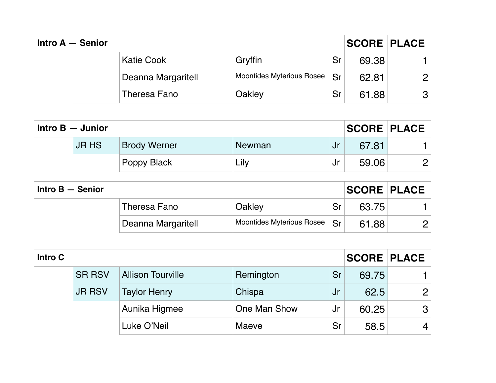| Intro $A -$ Senior |                    |                                  |           | <b>SCORE PLACE</b> |               |
|--------------------|--------------------|----------------------------------|-----------|--------------------|---------------|
|                    | Katie Cook         | Gryffin                          | Sr        | 69.38              |               |
|                    | Deanna Margaritell | <b>Moontides Myterious Rosee</b> | <b>Sr</b> | 62.81              | $\mathcal{P}$ |
|                    | Theresa Fano       | Oakley                           | Sr        | 61.88              | 3             |

| Intro $B -$ Junior |              |                     | <b>SCORE PLACE</b> |      |       |   |
|--------------------|--------------|---------------------|--------------------|------|-------|---|
|                    | <b>JR HS</b> | <b>Brody Werner</b> | Newman             | /Jr  | 67.81 |   |
|                    |              | <b>Poppy Black</b>  | Lily               | . Jr | 59.06 | ク |

| Intro $B -$ Senior |                    |                                             |    | <b>SCORE PLACE</b> |  |
|--------------------|--------------------|---------------------------------------------|----|--------------------|--|
|                    | Theresa Fano       | Oakley                                      | Sr | 63.75              |  |
|                    | Deanna Margaritell | Moontides Myterious Rosee   Sr <sup> </sup> |    | 61.88              |  |

| Intro C |               |                          |              |     | <b>SCORE PLACE</b> |                |
|---------|---------------|--------------------------|--------------|-----|--------------------|----------------|
|         | <b>SR RSV</b> | <b>Allison Tourville</b> | Remington    | Sr  | 69.75              |                |
|         | <b>JR RSV</b> | <b>Taylor Henry</b>      | Chispa       | /Jr | 62.5               | 2              |
|         |               | Aunika Higmee            | One Man Show | .Jr | 60.25              | 3              |
|         |               | Luke O'Neil              | Maeve        | Sr  | 58.5               | $\overline{4}$ |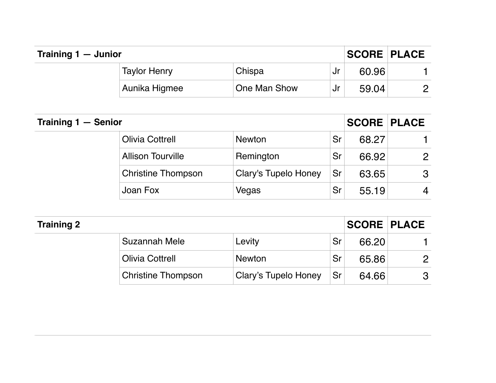| Training 1 - Junior |                     |              |    | <b>ISCORE PLACE</b> |   |
|---------------------|---------------------|--------------|----|---------------------|---|
|                     | <b>Taylor Henry</b> | Chispa       | Jr | 60.96               |   |
|                     | Aunika Higmee       | One Man Show | Jr | 59.04               | n |

| Training 1 - Senior |                           |                             |           | <b>SCORE PLACE</b> |                |
|---------------------|---------------------------|-----------------------------|-----------|--------------------|----------------|
|                     | <b>Olivia Cottrell</b>    | <b>Newton</b>               | Sr        | 68.27              |                |
|                     | <b>Allison Tourville</b>  | Remington                   | Sr        | 66.92              | 2              |
|                     | <b>Christine Thompson</b> | <b>Clary's Tupelo Honey</b> | Sr        | 63.65              | 3              |
|                     | Joan Fox                  | Vegas                       | <b>Sr</b> | 55.19              | $\overline{4}$ |

| <b>Training 2</b> |                           |                      |    | <b>SCORE PLACE</b> |                       |
|-------------------|---------------------------|----------------------|----|--------------------|-----------------------|
|                   | Suzannah Mele             | Levity               | Sr | 66.20              |                       |
|                   | <b>Olivia Cottrell</b>    | <b>Newton</b>        | Sr | 65.86              | $\mathbf{2}^{\prime}$ |
|                   | <b>Christine Thompson</b> | Clary's Tupelo Honey | Sr | 64.66              | 3                     |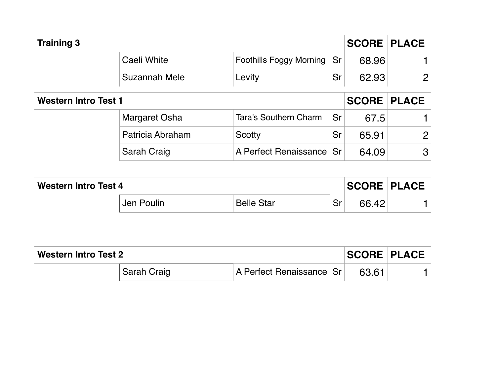| <b>Training 3</b>           |                  |                                |    | <b>SCORE PLACE</b> |   |
|-----------------------------|------------------|--------------------------------|----|--------------------|---|
|                             | Caeli White      | <b>Foothills Foggy Morning</b> | Sr | 68.96              |   |
|                             | Suzannah Mele    | Levity                         | Sr | 62.93              | 2 |
| <b>Western Intro Test 1</b> |                  |                                |    | <b>SCORE PLACE</b> |   |
|                             | Margaret Osha    | Tara's Southern Charm          | Sr | 67.5               |   |
|                             | Patricia Abraham | Scotty                         | Sr | 65.91              | 2 |
|                             | Sarah Craig      | A Perfect Renaissance Sr       |    | 64.09              | 3 |

| <b>Western Intro Test 4</b> |            |                   |    | <b>SCORE PLACE</b> |  |
|-----------------------------|------------|-------------------|----|--------------------|--|
|                             | Jen Poulin | <b>Belle Star</b> | Sr | 66.42              |  |

| Western Intro Test 2 |             |                          | <b>SCORE PLACE</b> |  |
|----------------------|-------------|--------------------------|--------------------|--|
|                      | Sarah Craig | A Perfect Renaissance Sr | 63.61              |  |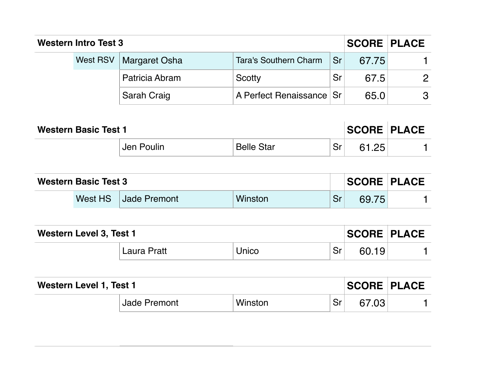| <b>Western Intro Test 3</b> |  |                          |                              |    | <b>SCORE PLACE</b> |               |
|-----------------------------|--|--------------------------|------------------------------|----|--------------------|---------------|
|                             |  | West RSV   Margaret Osha | <b>Tara's Southern Charm</b> | Sr | 67.75              |               |
|                             |  | Patricia Abram           | Scotty                       | Sr | 67.5               | $\mathcal{P}$ |
|                             |  | Sarah Craig              | A Perfect Renaissance Sr     |    | 65.0               | 3             |

| <b>Western Basic Test 1</b> |            |                   |    | <b>SCORE PLACE</b> |  |
|-----------------------------|------------|-------------------|----|--------------------|--|
|                             | Jen Poulin | <b>Belle Star</b> | Sr | 61.25              |  |

| <b>Western Basic Test 3</b> |  |                      | <b>SCORE PLACE</b> |    |       |  |
|-----------------------------|--|----------------------|--------------------|----|-------|--|
|                             |  | West HS Jade Premont | Winston            | Sr | 69.75 |  |

| <b>Western Level 3, Test 1</b> |                    |              |    | <b>SCORE PLACE</b> |  |
|--------------------------------|--------------------|--------------|----|--------------------|--|
|                                | <b>Laura Pratt</b> | <b>Jnico</b> | Sr | 60.19              |  |

| <b>Western Level 1, Test 1</b> |         |    |       | <b>SCORE PLACE</b> |
|--------------------------------|---------|----|-------|--------------------|
| <b>Jade Premont</b>            | Winston | Sr | 67.03 |                    |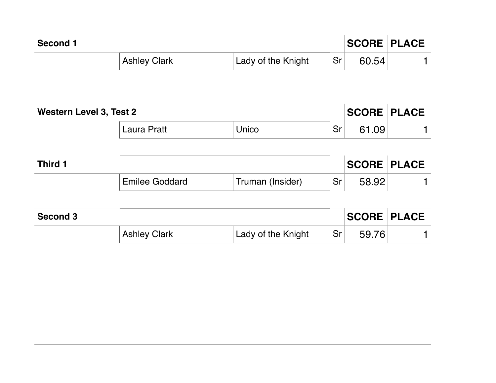| Second 1 |                     |                    |    | <b>SCORE PLACE</b> |  |
|----------|---------------------|--------------------|----|--------------------|--|
|          | <b>Ashley Clark</b> | Lady of the Knight | Sr | 60.54              |  |

| Western Level 3, Test 2 |             |       |    | <b>SCORE PLACE</b> |  |
|-------------------------|-------------|-------|----|--------------------|--|
|                         | Laura Pratt | Jnico | Sr | .09                |  |

| Third 1 |                |                  |    | <b>SCORE PLACE</b> |  |
|---------|----------------|------------------|----|--------------------|--|
|         | Emilee Goddard | Truman (Insider) | Sr | 58.92              |  |

| Second 3 |                     |                    |           | <b>SCORE PLACE</b> |  |
|----------|---------------------|--------------------|-----------|--------------------|--|
|          | <b>Ashley Clark</b> | Lady of the Knight | <b>Sr</b> | .76                |  |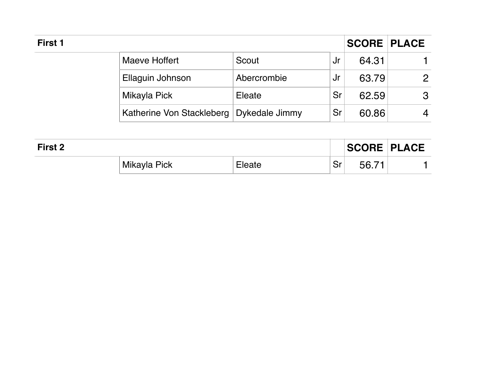| First 1 |                                            |             |      |       | <b>SCORE PLACE</b>       |
|---------|--------------------------------------------|-------------|------|-------|--------------------------|
|         | Maeve Hoffert                              | Scout       | .Jr  | 64.31 |                          |
|         | Ellaguin Johnson                           | Abercrombie | . Jr | 63.79 | $\mathcal{P}$            |
|         | Mikayla Pick                               | Eleate      | Sr   | 62.59 | 3                        |
|         | Katherine Von Stackleberg   Dykedale Jimmy |             | Sr   | 60.86 | $\overline{\mathcal{A}}$ |

| First 2 |              |        |               | <b>SCORE PLACE</b> |  |
|---------|--------------|--------|---------------|--------------------|--|
|         | Mikayla Pick | Eleate | $C_{r}$<br>اب | 56.71              |  |